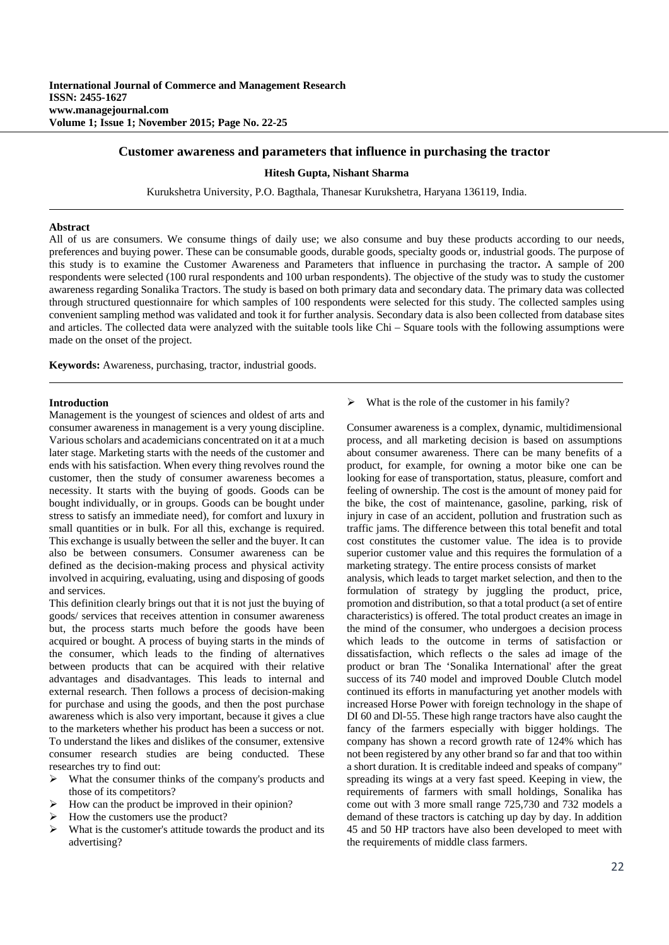# **Customer awareness and parameters that influence in purchasing the tractor**

## **Hitesh Gupta, Nishant Sharma**

Kurukshetra University, P.O. Bagthala, Thanesar Kurukshetra, Haryana 136119, India.

### **Abstract**

All of us are consumers. We consume things of daily use; we also consume and buy these products according to our needs, preferences and buying power. These can be consumable goods, durable goods, specialty goods or, industrial goods. The purpose of this study is to examine the Customer Awareness and Parameters that influence in purchasing the tractor**.** A sample of 200 respondents were selected (100 rural respondents and 100 urban respondents). The objective of the study was to study the customer awareness regarding Sonalika Tractors. The study is based on both primary data and secondary data. The primary data was collected through structured questionnaire for which samples of 100 respondents were selected for this study. The collected samples using convenient sampling method was validated and took it for further analysis. Secondary data is also been collected from database sites and articles. The collected data were analyzed with the suitable tools like Chi – Square tools with the following assumptions were made on the onset of the project.

**Keywords:** Awareness, purchasing, tractor, industrial goods.

## **Introduction**

Management is the youngest of sciences and oldest of arts and consumer awareness in management is a very young discipline. Various scholars and academicians concentrated on it at a much later stage. Marketing starts with the needs of the customer and ends with his satisfaction. When every thing revolves round the customer, then the study of consumer awareness becomes a necessity. It starts with the buying of goods. Goods can be bought individually, or in groups. Goods can be bought under stress to satisfy an immediate need), for comfort and luxury in small quantities or in bulk. For all this, exchange is required. This exchange is usually between the seller and the buyer. It can also be between consumers. Consumer awareness can be defined as the decision-making process and physical activity involved in acquiring, evaluating, using and disposing of goods and services.

This definition clearly brings out that it is not just the buying of goods/ services that receives attention in consumer awareness but, the process starts much before the goods have been acquired or bought. A process of buying starts in the minds of the consumer, which leads to the finding of alternatives between products that can be acquired with their relative advantages and disadvantages. This leads to internal and external research. Then follows a process of decision-making for purchase and using the goods, and then the post purchase awareness which is also very important, because it gives a clue to the marketers whether his product has been a success or not. To understand the likes and dislikes of the consumer, extensive consumer research studies are being conducted. These researches try to find out:

- What the consumer thinks of the company's products and those of its competitors?
- $\triangleright$  How can the product be improved in their opinion?
- How the customers use the product?
- What is the customer's attitude towards the product and its advertising?

 $\triangleright$  What is the role of the customer in his family?

Consumer awareness is a complex, dynamic, multidimensional process, and all marketing decision is based on assumptions about consumer awareness. There can be many benefits of a product, for example, for owning a motor bike one can be looking for ease of transportation, status, pleasure, comfort and feeling of ownership. The cost is the amount of money paid for the bike, the cost of maintenance, gasoline, parking, risk of injury in case of an accident, pollution and frustration such as traffic jams. The difference between this total benefit and total cost constitutes the customer value. The idea is to provide superior customer value and this requires the formulation of a marketing strategy. The entire process consists of market analysis, which leads to target market selection, and then to the formulation of strategy by juggling the product, price, promotion and distribution, so that a total product (a set of entire characteristics) is offered. The total product creates an image in the mind of the consumer, who undergoes a decision process which leads to the outcome in terms of satisfaction or dissatisfaction, which reflects o the sales ad image of the product or bran The 'Sonalika International' after the great success of its 740 model and improved Double Clutch model continued its efforts in manufacturing yet another models with increased Horse Power with foreign technology in the shape of DI 60 and Dl-55. These high range tractors have also caught the fancy of the farmers especially with bigger holdings. The company has shown a record growth rate of 124% which has not been registered by any other brand so far and that too within a short duration. It is creditable indeed and speaks of company" spreading its wings at a very fast speed. Keeping in view, the requirements of farmers with small holdings, Sonalika has come out with 3 more small range 725,730 and 732 models a demand of these tractors is catching up day by day. In addition 45 and 50 HP tractors have also been developed to meet with the requirements of middle class farmers.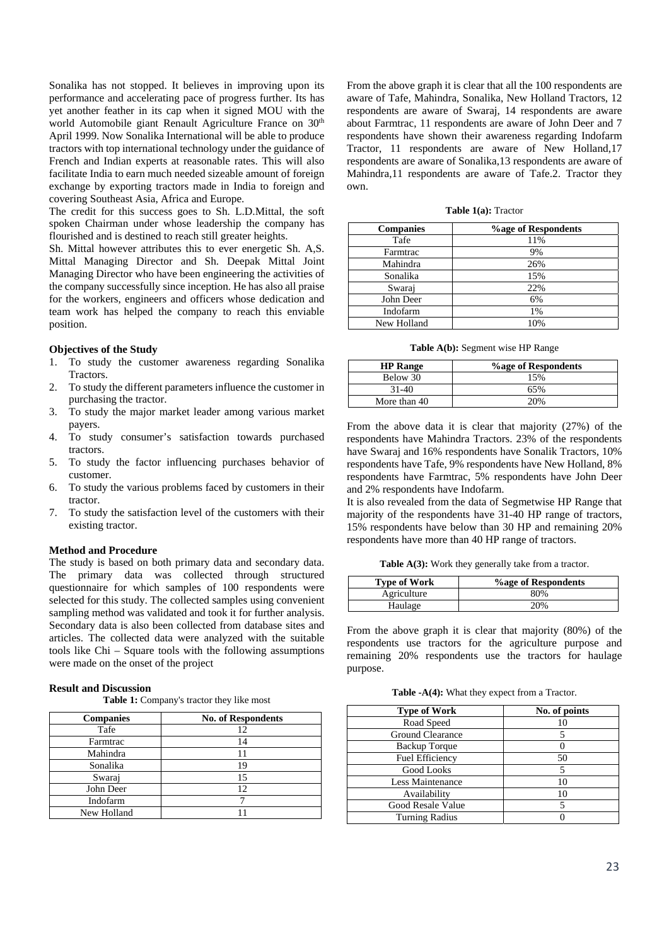Sonalika has not stopped. It believes in improving upon its performance and accelerating pace of progress further. Its has yet another feather in its cap when it signed MOU with the world Automobile giant Renault Agriculture France on 30<sup>th</sup> April 1999. Now Sonalika International will be able to produce tractors with top international technology under the guidance of French and Indian experts at reasonable rates. This will also facilitate India to earn much needed sizeable amount of foreign exchange by exporting tractors made in India to foreign and covering Southeast Asia, Africa and Europe.

The credit for this success goes to Sh. L.D.Mittal, the soft spoken Chairman under whose leadership the company has flourished and is destined to reach still greater heights.

Sh. Mittal however attributes this to ever energetic Sh. A,S. Mittal Managing Director and Sh. Deepak Mittal Joint Managing Director who have been engineering the activities of the company successfully since inception. He has also all praise for the workers, engineers and officers whose dedication and team work has helped the company to reach this enviable position.

# **Objectives of the Study**

- 1. To study the customer awareness regarding Sonalika Tractors.
- 2. To study the different parameters influence the customer in purchasing the tractor.
- 3. To study the major market leader among various market payers.
- 4. To study consumer's satisfaction towards purchased tractors.
- 5. To study the factor influencing purchases behavior of customer.
- 6. To study the various problems faced by customers in their tractor.
- 7. To study the satisfaction level of the customers with their existing tractor.

## **Method and Procedure**

The study is based on both primary data and secondary data. The primary data was collected through structured questionnaire for which samples of 100 respondents were selected for this study. The collected samples using convenient sampling method was validated and took it for further analysis. Secondary data is also been collected from database sites and articles. The collected data were analyzed with the suitable tools like Chi – Square tools with the following assumptions were made on the onset of the project

#### **Result and Discussion**

**Table 1:** Company's tractor they like most

| <b>Companies</b> | <b>No. of Respondents</b> |
|------------------|---------------------------|
| Tafe             | 12                        |
| Farmtrac         | 14                        |
| Mahindra         |                           |
| Sonalika         | 19                        |
| Swaraj           | 15                        |
| John Deer        | 12                        |
| Indofarm         |                           |
| New Holland      |                           |

From the above graph it is clear that all the 100 respondents are aware of Tafe, Mahindra, Sonalika, New Holland Tractors, 12 respondents are aware of Swaraj, 14 respondents are aware about Farmtrac, 11 respondents are aware of John Deer and 7 respondents have shown their awareness regarding Indofarm Tractor, 11 respondents are aware of New Holland,17 respondents are aware of Sonalika,13 respondents are aware of Mahindra,11 respondents are aware of Tafe.2. Tractor they own.

**Table 1(a):** Tractor

| <b>Companies</b> | <b>%age of Respondents</b> |
|------------------|----------------------------|
| Tafe             | 11%                        |
| Farmtrac         | 9%                         |
| Mahindra         | 26%                        |
| Sonalika         | 15%                        |
| Swaraj           | 22%                        |
| John Deer        | 6%                         |
| Indofarm         | 1%                         |
| New Holland      | 10%                        |

**Table A(b):** Segment wise HP Range

| <b>HP</b> Range | <b>%age of Respondents</b> |
|-----------------|----------------------------|
| Below 30        | 15%                        |
| $31-40$         | 65%                        |
| More than 40    | 20%                        |

From the above data it is clear that majority (27%) of the respondents have Mahindra Tractors. 23% of the respondents have Swaraj and 16% respondents have Sonalik Tractors, 10% respondents have Tafe, 9% respondents have New Holland, 8% respondents have Farmtrac, 5% respondents have John Deer and 2% respondents have Indofarm.

It is also revealed from the data of Segmetwise HP Range that majority of the respondents have 31-40 HP range of tractors, 15% respondents have below than 30 HP and remaining 20% respondents have more than 40 HP range of tractors.

Table A(3): Work they generally take from a tractor.

| <b>Type of Work</b> | <b>Vage of Respondents</b> |
|---------------------|----------------------------|
| Agriculture         | 80%                        |
| Haulage             | 20%                        |

From the above graph it is clear that majority (80%) of the respondents use tractors for the agriculture purpose and remaining 20% respondents use the tractors for haulage purpose.

**Table -A(4):** What they expect from a Tractor.

| <b>Type of Work</b>    | No. of points |
|------------------------|---------------|
| Road Speed             |               |
| Ground Clearance       |               |
| <b>Backup Torque</b>   |               |
| <b>Fuel Efficiency</b> | 50            |
| Good Looks             |               |
| Less Maintenance       | 10            |
| Availability           | 10            |
| Good Resale Value      |               |
| <b>Turning Radius</b>  |               |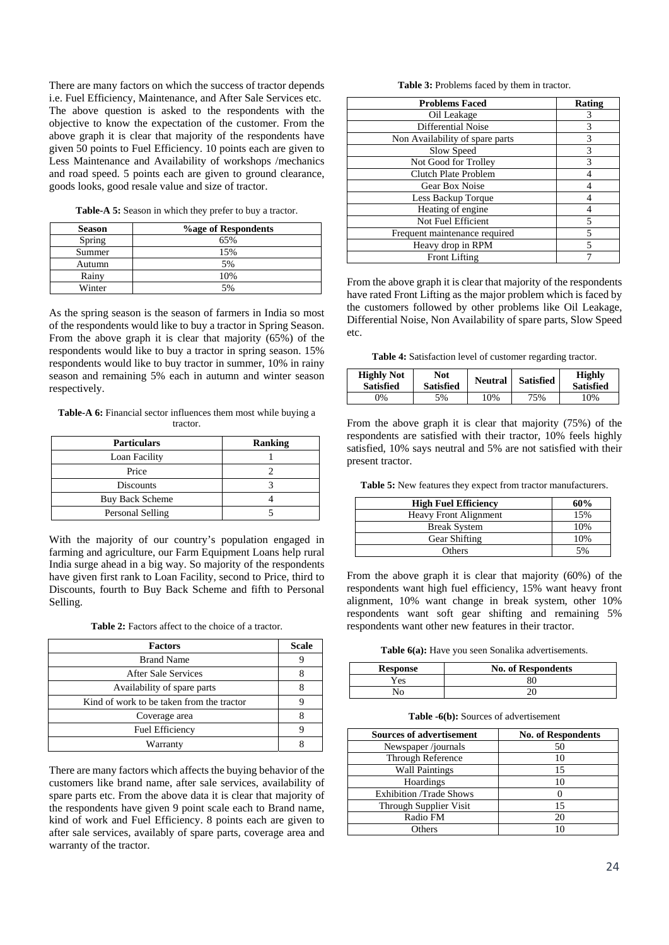There are many factors on which the success of tractor depends i.e. Fuel Efficiency, Maintenance, and After Sale Services etc. The above question is asked to the respondents with the objective to know the expectation of the customer. From the above graph it is clear that majority of the respondents have given 50 points to Fuel Efficiency. 10 points each are given to Less Maintenance and Availability of workshops /mechanics and road speed. 5 points each are given to ground clearance, goods looks, good resale value and size of tractor.

**Table-A 5:** Season in which they prefer to buy a tractor.

| <b>Season</b> | <b>%age of Respondents</b> |
|---------------|----------------------------|
| Spring        | 65%                        |
| Summer        | 15%                        |
| Autumn        | 5%                         |
| Rainy         | 10%                        |
| Winter        | 5%                         |

As the spring season is the season of farmers in India so most of the respondents would like to buy a tractor in Spring Season. From the above graph it is clear that majority (65%) of the respondents would like to buy a tractor in spring season. 15% respondents would like to buy tractor in summer, 10% in rainy season and remaining 5% each in autumn and winter season respectively.

**Table-A 6:** Financial sector influences them most while buying a tractor.

| <b>Particulars</b> | <b>Ranking</b> |
|--------------------|----------------|
| Loan Facility      |                |
| Price              |                |
| <b>Discounts</b>   |                |
| Buy Back Scheme    |                |
| Personal Selling   |                |

With the majority of our country's population engaged in farming and agriculture, our Farm Equipment Loans help rural India surge ahead in a big way. So majority of the respondents have given first rank to Loan Facility, second to Price, third to Discounts, fourth to Buy Back Scheme and fifth to Personal Selling.

| <b>Table 2:</b> Factors affect to the choice of a tractor. |  |  |  |  |  |  |
|------------------------------------------------------------|--|--|--|--|--|--|
|------------------------------------------------------------|--|--|--|--|--|--|

| <b>Factors</b>                            | <b>Scale</b> |
|-------------------------------------------|--------------|
| <b>Brand Name</b>                         |              |
| After Sale Services                       |              |
| Availability of spare parts               |              |
| Kind of work to be taken from the tractor |              |
| Coverage area                             |              |
| <b>Fuel Efficiency</b>                    |              |
| Warranty                                  |              |

There are many factors which affects the buying behavior of the customers like brand name, after sale services, availability of spare parts etc. From the above data it is clear that majority of the respondents have given 9 point scale each to Brand name, kind of work and Fuel Efficiency. 8 points each are given to after sale services, availably of spare parts, coverage area and warranty of the tractor.

**Table 3:** Problems faced by them in tractor.

| <b>Problems Faced</b>           | Rating |
|---------------------------------|--------|
| Oil Leakage                     | 3      |
| Differential Noise              | 3      |
| Non Availability of spare parts | 3      |
| Slow Speed                      | 3      |
| Not Good for Trolley            | 3      |
| Clutch Plate Problem            | 4      |
| Gear Box Noise                  |        |
| Less Backup Torque              |        |
| Heating of engine               |        |
| Not Fuel Efficient              | 5      |
| Frequent maintenance required   | 5      |
| Heavy drop in RPM               | 5      |
| <b>Front Lifting</b>            |        |

From the above graph it is clear that majority of the respondents have rated Front Lifting as the major problem which is faced by the customers followed by other problems like Oil Leakage, Differential Noise, Non Availability of spare parts, Slow Speed etc.

**Table 4:** Satisfaction level of customer regarding tractor.

| <b>Highly Not</b><br><b>Satisfied</b> | Not<br><b>Satisfied</b> | <b>Neutral</b> | <b>Satisfied</b> | <b>Highly</b><br><b>Satisfied</b> |
|---------------------------------------|-------------------------|----------------|------------------|-----------------------------------|
| $\gamma\%$                            | 5%                      | 10%            | 75%              | 10%                               |

From the above graph it is clear that majority (75%) of the respondents are satisfied with their tractor, 10% feels highly satisfied, 10% says neutral and 5% are not satisfied with their present tractor.

**Table 5:** New features they expect from tractor manufacturers.

| <b>High Fuel Efficiency</b>  | 60% |
|------------------------------|-----|
| <b>Heavy Front Alignment</b> | 15% |
| <b>Break System</b>          | 10% |
| <b>Gear Shifting</b>         | 10% |
| Others                       | 5%  |

From the above graph it is clear that majority (60%) of the respondents want high fuel efficiency, 15% want heavy front alignment, 10% want change in break system, other 10% respondents want soft gear shifting and remaining 5% respondents want other new features in their tractor.

**Table 6(a):** Have you seen Sonalika advertisements.

| <b>Response</b>        | <b>No. of Respondents</b> |
|------------------------|---------------------------|
| Yes                    | 80                        |
| $\mathcal{N}_{\Omega}$ |                           |

**Table -6(b):** Sources of advertisement

| <b>Sources of advertisement</b> | <b>No. of Respondents</b> |
|---------------------------------|---------------------------|
| Newspaper/journals              | 50                        |
| <b>Through Reference</b>        | 10                        |
| <b>Wall Paintings</b>           | 15                        |
| Hoardings                       | 10                        |
| <b>Exhibition /Trade Shows</b>  |                           |
| Through Supplier Visit          | 15                        |
| Radio FM                        | 20                        |
| Others                          |                           |